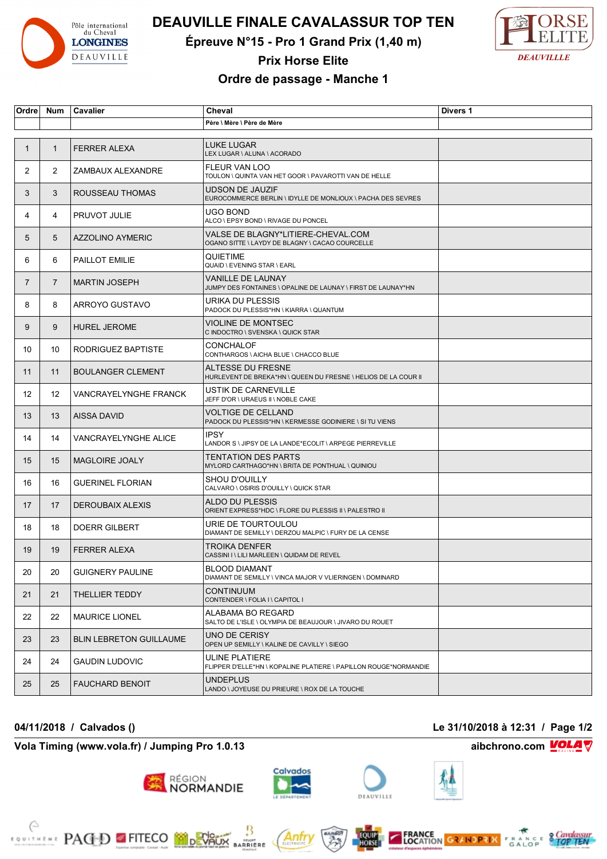

# **DEAUVILLE FINALE CAVALASSUR TOP TEN**

**Épreuve N°15 - Pro 1 Grand Prix (1,40 m)**



## **Prix Horse Elite**

### **Ordre de passage - Manche 1**

| Ordre          | Num               | Cavalier                       | Cheval                                                                                    | Divers 1 |
|----------------|-------------------|--------------------------------|-------------------------------------------------------------------------------------------|----------|
|                |                   |                                | Père \ Mère \ Père de Mère                                                                |          |
|                |                   |                                |                                                                                           |          |
| 1              | $\mathbf{1}$      | <b>FERRER ALEXA</b>            | <b>LUKE LUGAR</b><br>LEX LUGAR \ ALUNA \ ACORADO                                          |          |
| $\overline{2}$ | $\overline{2}$    | ZAMBAUX ALEXANDRE              | <b>FLEUR VAN LOO</b><br>TOULON \ QUINTA VAN HET GOOR \ PAVAROTTI VAN DE HELLE             |          |
| 3              | 3                 | ROUSSEAU THOMAS                | <b>UDSON DE JAUZIF</b><br>EUROCOMMERCE BERLIN \ IDYLLE DE MONLIOUX \ PACHA DES SEVRES     |          |
| 4              | 4                 | <b>PRUVOT JULIE</b>            | UGO BOND<br>ALCO \ EPSY BOND \ RIVAGE DU PONCEL                                           |          |
| 5              | 5                 | AZZOLINO AYMERIC               | VALSE DE BLAGNY*LITIERE-CHEVAL.COM<br>OGANO SITTE \ LAYDY DE BLAGNY \ CACAO COURCELLE     |          |
| 6              | 6                 | PAILLOT EMILIE                 | <b>QUIETIME</b><br>QUAID \ EVENING STAR \ EARL                                            |          |
| $\overline{7}$ | $\overline{7}$    | <b>MARTIN JOSEPH</b>           | <b>VANILLE DE LAUNAY</b><br>JUMPY DES FONTAINES \ OPALINE DE LAUNAY \ FIRST DE LAUNAY*HN  |          |
| 8              | 8                 | ARROYO GUSTAVO                 | URIKA DU PLESSIS<br>PADOCK DU PLESSIS*HN \ KIARRA \ QUANTUM                               |          |
| 9              | 9                 | <b>HUREL JEROME</b>            | <b>VIOLINE DE MONTSEC</b><br>C INDOCTRO \ SVENSKA \ QUICK STAR                            |          |
| 10             | 10                | RODRIGUEZ BAPTISTE             | CONCHALOF<br>CONTHARGOS \ AICHA BLUE \ CHACCO BLUE                                        |          |
| 11             | 11                | <b>BOULANGER CLEMENT</b>       | ALTESSE DU FRESNE<br>HURLEVENT DE BREKA*HN \ QUEEN DU FRESNE \ HELIOS DE LA COUR II       |          |
| 12             | $12 \overline{ }$ | VANCRAYELYNGHE FRANCK          | <b>USTIK DE CARNEVILLE</b><br>JEFF D'OR \ URAEUS II \ NOBLE CAKE                          |          |
| 13             | 13                | <b>AISSA DAVID</b>             | <b>VOLTIGE DE CELLAND</b><br>PADOCK DU PLESSIS*HN \ KERMESSE GODINIERE \ SI TU VIENS      |          |
| 14             | 14                | VANCRAYELYNGHE ALICE           | <b>IPSY</b><br>LANDOR S \ JIPSY DE LA LANDE*ECOLIT \ ARPEGE PIERREVILLE                   |          |
| 15             | 15                | <b>MAGLOIRE JOALY</b>          | <b>TENTATION DES PARTS</b><br>MYLORD CARTHAGO*HN \ BRITA DE PONTHUAL \ QUINIOU            |          |
| 16             | 16                | <b>GUERINEL FLORIAN</b>        | <b>SHOU D'OUILLY</b><br>CALVARO \ OSIRIS D'OUILLY \ QUICK STAR                            |          |
| 17             | 17                | <b>DEROUBAIX ALEXIS</b>        | <b>ALDO DU PLESSIS</b><br>ORIENT EXPRESS*HDC \ FLORE DU PLESSIS II \ PALESTRO II          |          |
| 18             | 18                | <b>DOERR GILBERT</b>           | URIE DE TOURTOULOU<br>DIAMANT DE SEMILLY \ DERZOU MALPIC \ FURY DE LA CENSE               |          |
| 19             | 19                | <b>FERRER ALEXA</b>            | <b>TROIKA DENFER</b><br>CASSINI I \ LILI MARLEEN \ QUIDAM DE REVEL                        |          |
| 20             | 20                | <b>GUIGNERY PAULINE</b>        | <b>BLOOD DIAMANT</b><br>DIAMANT DE SEMILLY \ VINCA MAJOR V VLIERINGEN \ DOMINARD          |          |
| 21             | 21                | THELLIER TEDDY                 | <b>CONTINUUM</b><br>CONTENDER \ FOLIA I \ CAPITOL I                                       |          |
| 22             | 22                | <b>MAURICE LIONEL</b>          | ALABAMA BO REGARD<br>SALTO DE L'ISLE \ OLYMPIA DE BEAUJOUR \ JIVARO DU ROUET              |          |
| 23             | 23                | <b>BLIN LEBRETON GUILLAUME</b> | UNO DE CERISY<br>OPEN UP SEMILLY \ KALINE DE CAVILLY \ SIEGO                              |          |
| 24             | 24                | <b>GAUDIN LUDOVIC</b>          | <b>ULINE PLATIERE</b><br>FLIPPER D'ELLE*HN \ KOPALINE PLATIERE \ PAPILLON ROUGE*NORMANDIE |          |
| 25             | 25                | <b>FAUCHARD BENOIT</b>         | <b>UNDEPLUS</b><br>LANDO \ JOYEUSE DU PRIEURE \ ROX DE LA TOUCHE                          |          |

#### **04/11/2018 / Calvados () Le 31/10/2018 à 12:31 / Page 1/2**

**Vola Timing (www.vola.fr) / Jumping Pro 1.0.13 aibchrono.com VOLA V** 

**PACED EFITECO MODEVALLE** 



**BARRIERE** 

Anfr

région<br>**NORMANDIE** 









**FRANCE**<br>LOCATION GRANDPRIX FRANCE STOP TEN